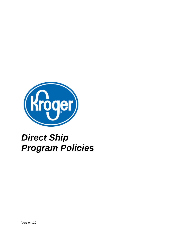

# *Direct Ship Program Policies*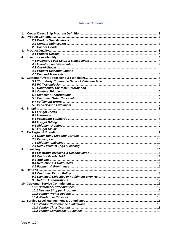## **Table of Contents**

| 1. |  |
|----|--|
| 2. |  |
|    |  |
|    |  |
|    |  |
| 3. |  |
|    |  |
|    |  |
| 4. |  |
|    |  |
|    |  |
|    |  |
|    |  |
|    |  |
| 5. |  |
|    |  |
|    |  |
|    |  |
|    |  |
|    |  |
|    |  |
|    |  |
|    |  |
| 6. |  |
|    |  |
|    |  |
|    |  |
|    |  |
|    |  |
|    |  |
| 7. |  |
|    |  |
|    |  |
|    |  |
|    |  |
|    |  |
| 8. |  |
|    |  |
|    |  |
|    |  |
|    |  |
|    |  |
| 9. |  |
|    |  |
|    |  |
|    |  |
|    |  |
|    |  |
|    |  |
|    |  |
|    |  |
|    |  |
|    |  |
|    |  |
|    |  |
|    |  |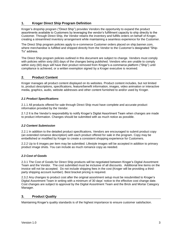# <span id="page-3-0"></span>**1. Kroger Direct Ship Program Definition**

Kroger's dropship program ("Direct Ship") provides Vendors the opportunity to expand the product assortments available to Customers by leveraging the vendor's fulfillment capacity to ship directly to the Customer. Through Direct Ship, the Vendor retains the inventory and fulfills orders on behalf of Kroger, creating a streamlined inventory arrangement while maintaining a seamless experience for the Customer.

The Direct Ship program policies apply to e-commerce Customer orders placed on ship.banner.com, where merchandise is fulfilled and shipped directly from the Vendor to the Customer's designated "Ship-To" address.

The Direct Ship program policies outlined in this document are subject to change. Vendors must comply with policies within sixty (60) days of the changes being published. Vendors who are unable to comply within sixty (60) days will have their product removed from Kroger's e-commerce platform ("Ship") until compliance is achieved, or a written exemption signed by a Kroger executive is received.

# <span id="page-3-1"></span>**2. Product Content**

Kroger manages all product content displayed on its websites. Product content includes, but not limited to, product descriptions, specifications, feature/benefit information, images, video animation or interactive media, graphics, audio, website addresses and other content furnished to and/or used by Kroger.

## <span id="page-3-2"></span>*2.1 Product Specifications*

2.1.1 All products offered for sale through Direct Ship must have complete and accurate product information provided by the Vendor.

2.1.2 It is the Vendor's responsibility to notify Kroger's Digital Assortment Team when changes are made to product information. Changes should be submitted with as much notice as possible.

## <span id="page-3-3"></span>*2.2 Content Submission*

2.2.1 In addition to the detailed product specifications, Vendors are encouraged to submit product copy (an extended romance description) with each product offered for sale in the program. Copy may be embellished or modified by Kroger to create a consistent shopping experience for Customers.

2.2.2 Up to 6 images per item may be submitted. Lifestyle images will be accepted in addition to primary product image shots. You can include as much romance copy as needed.

## <span id="page-3-4"></span>*2.3 Cost of Goods*

2.3.1 The Cost of Goods for Direct Ship products will be negotiated between Kroger's Digital Assortment Team and the Vendor. The cost submitted must be inclusive of all discounts. Additional line items on the invoice will not be accepted. Do not include shipping fees in the cost (Kroger will be providing a thirdparty shipping account number). Best bracket pricing is required.

2.3.2 Any changes to product cost after the original assortment setup must be resubmitted to Kroger's Digital Assortment Team in writing with a minimum of 30 days' notice to the effective cost change date. Cost changes are subject to approval by the Digital Assortment Team and the Brick and Mortar Category Manager.

## <span id="page-3-5"></span>**3. Product Quality**

Maintaining Kroger's quality standards is of the highest importance to ensure customer satisfaction.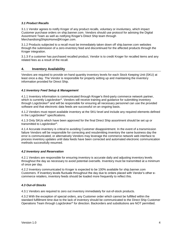## <span id="page-4-0"></span>*3.1 Product Recalls*

3.1.1 Vendor agrees to notify Kroger of any product recalls, voluntary or involuntary, which impact Customer purchase orders on ship.banner.com. Vendors should use protocol for advising the Digital Assortment Team as well as notifying Kroger's Direct Ship team through MerchandisingShiptoHome@Kroger.com.

3.1.2 Products subjected to a recall must be immediately taken down off ship.banner.com websites through the submission of a zero-inventory feed and discontinued for the affected products through the Kroger integration.

3.1.3 If a customer has purchased recalled product, Vendor is to credit Kroger for recalled items and any related fees as a result of the recall.

#### <span id="page-4-1"></span>**4. Inventory Availability**

Vendors are required to provide on-hand quantity inventory levels for each Stock Keeping Unit (SKU) at least once a day. The Vendor is responsible for properly setting up and maintaining the inventory information provided for Direct Ship.

#### <span id="page-4-2"></span>*4.1 Inventory Feed Setup & Management*

4.1.1 Inventory information is communicated through Kroger's third-party commerce network partner, which is currently Logicbroker®. Vendors will receive training and guidance for submitting inventory through Logicbroker® and will be responsible for ensuring all necessary personnel can use the provided software and that electronic data feeds are successful on an ongoing basis.

4.1.2 Vendors must report available inventory at the SKU level and include any required elements defined in the Logicbroker® specifications.

4.1.3 Only SKUs which have been approved for the final Direct Ship assortment should be set up or transmitted to Logicbroker®.

4.1.4 Accurate inventory is critical to avoiding Customer disappointment. In the event of a transmission failure Vendors will be responsible for correcting and resubmitting inventory the same business day the error is communicated, or alternatively Vendors may leverage the commerce network web interface to process inventory updates until data feeds have been corrected and automated electronic communication methods successfully resumed.

#### <span id="page-4-3"></span>*4.2 Inventory and Reservation*

4.2.1 Vendors are responsible for ensuring inventory is accurate daily and adjusting inventory levels throughout the day as necessary to avoid potential oversells. Inventory must be transmitted at a minimum of once per day.

4.2.2 Inventory communicated to Kroger is expected to be 100% available for ship.banner.com Customers. If inventory levels fluctuate throughout the day due to orders placed with Vendor's other ecommerce retailers, inventory feeds should be loaded more frequently to reflect this.

## <span id="page-4-4"></span>*4.3 Out-of-Stocks*

4.3.1 Vendors are required to zero out inventory immediately for out-of-stock products.

4.3.2 With the exception of special orders, any Customer order which cannot be fulfilled within the standard fulfillment time due to the lack of inventory should be communicated to the Direct Ship Customer Operations Team through Logicbroker® for direction. Backorders and substitutions are NOT permitted.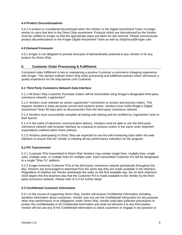#### <span id="page-5-0"></span>*4.4 Product Discontinuations*

4.4.1 A product is considered discontinued when the Vendor or the Digital Assortment Team no longer wishes to carry that item in the Direct Ship assortment. Products which are discontinued by the Vendor must be notified to Kroger so that the appropriate steps are taken for site removal. Please communicate product discontinuations to the Kroger Digital Assortment Team as well as ShipDisco@Kroger.com.

#### <span id="page-5-1"></span>*4.5 Demand Forecasts*

4.5.1 Kroger is not obligated to provide forecasts of demand/sales potential to any Vendor or for any product for Direct Ship.

# <span id="page-5-2"></span>**5. Customer Order Processing & Fulfillment**

Consistent order fulfillment is key to maintaining a positive Customer e-commerce shopping experience with Kroger. This section outlines Direct Ship order processing and fulfillment policies which will ensure a quality experience for the ship.banner.com Customer.

#### <span id="page-5-3"></span>*5.1 Third Party Commerce Network Data Interface*

5.1.1 All Direct Ship Customer Purchase Orders will be transmitted using Kroger's designated third-party commerce network, Logicbroker®.

5.1.2 Vendors must maintain an active Logicbroker® connection to receive and process orders. This requires Vendors to keep accounts current and systems active. Vendors must notify Kroger's Digital Assortment Team 60 days prior to disconnection from the third-party commerce network.

5.1.3 Vendors must successfully complete all testing and training and be certified by Logicbroker® prior to their launch.

5.1.4 In the event of electronic communication failures, Vendors must be able to use the third-party commerce network web browser interface as a backup to process orders in the same order shipment expectations outlined within these policies.

5.1.5 Vendors participating in Direct Ship are expected to use the self-monitoring tools within the web interface to ensure that the Vendor is meeting all key performance indicators for the program.

## <span id="page-5-4"></span>*5.2 PO Transmission*

5.2.1 Customer POs transmitted to Direct Ship Vendors may contain single lines, multiple lines, single units, multiple units, or multiple lines for multiple units. Each transmitted Customer PO will be designated to a single "Ship-To" address.

5.2.2 Kroger transmits Customer POs to the third-party commerce network periodically throughout the day. Vendors are encouraged to download POs the same day they are made available in the interface. Regardless of whether the Vendor downloads the order on the first available day, the on-time shipment clock begins the first business day that the Customer PO is made available to the Vendor by the thirdparty commerce network. Please refer to 5.4 for further detail.

#### <span id="page-5-5"></span>*5.3 Confidential Customer Information*

5.3.1 In the course of supporting Direct Ship, Vendor will receive Confidential Information including sensitive information about customers. Vendor may not use the Confidential Information for any purpose other than performance of its obligations under Direct Ship. Vendor shall take sufficient precautions to protect the confidentiality of all Confidential Information and shall not disclose it to any third parties. Vendor will not use any of the Confidential Information to solicit customers or engage in any practice or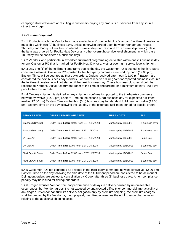campaign directed toward or resulting in customers buying any products or services from any source other than Kroger*.*

## <span id="page-6-0"></span>*5.4 On-time Shipment*

5.4.1 Products which the Vendor has made available to Kroger within the "standard" fulfillment timeframe must ship within two (2) business days, unless otherwise agreed upon between Vendor and Kroger. Thursday and Friday will not be considered business days for fresh and frozen item shipments (unless the item was ordered for FedEx Next Day or any other overnight service level shipment, in which case Thursday will be considered a business day).

5.4.2 Vendors who participate in expedited fulfillment programs agree to ship within one (1) business day for any Customer PO that is marked for FedEx Next Day or any other overnight service level shipment.

5.4.3 Day one (1) of the fulfillment timeframe begins the day the Customer PO is posted in the third-party commerce network. Customer POs posted to the third-party commerce network by noon (12:00 pm), Eastern Time, will be counted as that day's orders. Orders received after noon (12:00 pm) Eastern are considered the next business day's orders. For orders received during Vendor-reported business closures the fulfillment timeframe will not start until the next business day. These business closures should be reported to Kroger's Digital Assortment Team at the time of onboarding, or a minimum of thirty (30) days prior to the closure date.

5.4.4 On-time shipment is defined as any shipment confirmation posted to the third-party commerce network by twelve (12:00 pm) Eastern Time on the second (2nd) business day for expedited fulfillment, twelve (12:00 pm) Eastern Time on the third (3rd) business day for standard fulfillment, or twelve (12:00 pm) Eastern Time on the day following the last day of the extended fulfillment period for special orders.

| <b>SERVICE LEVEL</b>    | <b>ORDER CREATE DATE &amp; TIME</b>         | <b>SHIP BY DATE</b>    | <b>SLA</b>      |
|-------------------------|---------------------------------------------|------------------------|-----------------|
| Standard (Ground)       | Order Time: before 12:00 Noon EST 11/5/2018 | Must ship by 11/6/2018 | 2 business days |
| Standard (Ground)       | Order Time: after 12:00 Noon EST 11/5/2018  | Must ship by 11/7/2018 | 2 business days |
| 2 <sup>nd</sup> Day Air | Order Time: before 12:00 Noon EST 11/5/2018 | Must ship by 11/5/2018 | Same Day        |
| 2 <sup>nd</sup> Day Air | Order Time: after 12:00 Noon EST 11/5/2018  | Must ship by 11/6/2018 | 1 business day  |
| Next Day Air Saver      | Order Time: before 12:00 Noon EST 11/5/2018 | Must ship by 11/5/2018 | Same Day        |
| Next Day Air Saver      | Order Time: after 12:00 Noon EST 11/5/2018  | Must ship by 11/6/2018 | 1 business day  |

5.4.5 Customer POs not confirmed as shipped in the third-party commerce network by twelve (12:00 pm) Eastern Time on the day following the ship date of the fulfillment period are considered to be delinquent. Delinquent orders are subject to cancellation by Kroger after three (3) business days. A non-compliance penalty may be issued for delinquent orders.

5.4.6 Kroger excuses Vendor from nonperformance or delays in delivery caused by unforeseeable occurrences, but Vendor agrees it is not excused by unexpected difficulty or commercial impracticality of any degree. If Vendor can fulfill its delivery obligation only by premium shipping, the premium charges shall be prepaid by the Vendor or, if not prepaid, then Kroger reserves the right to issue chargebacks relating to the additional shipping costs.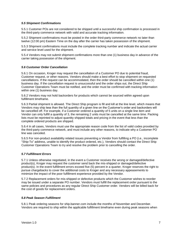#### <span id="page-7-0"></span>*5.5 Shipment Confirmations*

5.5.1 Customer POs are not considered to be shipped until a successful ship confirmation is processed in the third-party commerce network with valid and accurate tracking information.

5.5.2 Shipment confirmations must be posted in the order third-party commerce network no later than twelve (12:00 pm) Eastern Time on the day after the carrier has taken possession of the shipment.

5.5.3 Shipment confirmations must include the complete tracking number and indicate the actual carrier and service level used for the shipment.

5.5.4 Vendors may not submit shipment confirmations more than one (1) business day in advance of the carrier taking possession of the shipment.

#### <span id="page-7-1"></span>*5.6 Customer Order Cancellation*

5.6.1 On occasion, Kroger may request the cancellation of a Customer PO due to potential fraud, Customer request, or other reasons. Vendors should make a best effort to stop shipment on requested cancellations. If the request can be accommodated, then the order should be cancelled within one (1) business day. If the cancellation request is unsuccessful and the order ships out, the Direct Ship Customer Operations Team must be notified, and the order must be confirmed with tracking information within one (1) business day.

5.6.2 Vendors may not hold backorders for products which cannot be sourced within agreed upon fulfillment timeframe.

5.6.3 Partial shipment is allowed. The Direct Ship program is fill and kill at the line level, which means that Vendors may ship less than the full quantity of a given line on the Customer's order and backorders will be cancelled off. For example, if a Customer ordered a quantity of 5 units on a single line item and Vendor can only fulfill a quantity of 3, the remaining 2 units must be cancelled at the same time. Packing lists must be reprinted to adjust quantity shipped totals and pricing in the event that less than the complete ordered products are shipped.

5.6.4 In all cases, Vendors must use the appropriate reason code from the list of valid codes provided by the third-party commerce network, and must include any other reasons, to indicate why a Customer PO line was canceled.

5.6.5 For non-product availability related issues preventing a Vendor from fulfilling a PO (i.e., incomplete "Ship-To" address, unable to identify the product ordered, etc.), Vendors should contact the Direct Ship Customer Operations Team to try and resolve the problem prior to cancelling the order.

#### <span id="page-7-2"></span>*5.7 Fulfillment Errors*

5.7.1 Unless otherwise negotiated, in the event a Customer receives the wrong or damaged/defective product(s), Kroger may request the customer send back the mis-shipped or damaged/defective product(s). In the event fulfillment errors exceed five (5) percent in a quarter, Kroger reserves the right to pursue chargebacks to cover the additional costs to Kroger and any necessary appeasements to minimize the impact of the poor fulfillment experience provided by the Vendor.

5.7.2 Replacement orders for mis-shipped or defective products which the Customer wishes to reorder may be issued under a separate PO number. Vendors must fulfill the replacement order pursuant to the same policies and procedures as any regular Direct Ship Customer order. Vendors will be billed back for the cost of goods for replacement orders.

#### <span id="page-7-3"></span>*5.8 Peak Season Fulfillment*

5.8.1 Peak ordering seasons for ship.banner.com include the months of November and December. Vendors are required to ship within the applicable fulfillment timeframe even during peak seasons when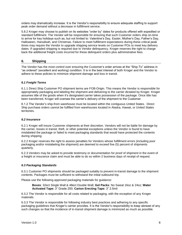orders may dramatically increase. It is the Vendor's responsibility to ensure adequate staffing to support peak order demand without a decrease in fulfillment service.

5.8.2 Kroger may choose to publish on its websites "order by" dates for products offered with expedited or standard fulfillment. The Vendor will be responsible for ensuring that such Customer orders ship on-time to arrive for key holidays such as, but not limited to: Valentine's Day, Easter, Mother's Day, Father's Day, Halloween, Hanukkah, and Christmas. Failure to meet fulfillment expectations during these critical peak times may require the Vendor to upgrade shipping service levels on Customer POs to meet key delivery dates. If upgraded shipping is required due to Vendor delinquency, Kroger reserves the right to charge back the additional freight costs incurred for these delinquent orders plus administrative fees.

## <span id="page-8-0"></span>**6. Shipping**

The Vendor has the most control over ensuring the Customer's order arrives at the "Ship-To" address in "as ordered" (excellent and working) condition. It is in the best interest of both Kroger and the Vendor to adhere to these policies to minimize shipment damage and loss in transit.

## <span id="page-8-1"></span>*6.1 Freight Terms*

6.1.1 Direct Ship Customer PO shipment terms are FOB-Origin. This means the Vendor is responsible for appropriately packaging and labeling the shipment and delivering to the carrier dictated by Kroger. Kroger assumes title of the goods when it's designated carrier takes possession of the package. Once title has been transferred, Kroger will oversee the carrier's delivery of the shipment to the Customer.

6.1.2 The Vendor's ship-from warehouse must be located within the contiguous United States. Direct Ship purchase orders cannot be fulfilled from warehouses located in Alaska, Hawaii, or United States territories.

## <span id="page-8-2"></span>*6.2 Insurance*

6.2.1 Kroger will insure Customer shipments at their discretion. Vendors will not be liable for damage by the carrier, losses in transit, theft, or other potential exceptions unless the Vendor is found to have mislabeled the package or failed to meet packaging standards that would have protected the contents during shipping.

6.2.2 Kroger reserves the right to assess penalties for Vendors whose fulfillment errors (including poor packaging and/or mislabeling the shipment) are deemed to exceed five (5) percent of shipments quarterly.

6.2.3 Vendors may be asked to provide testimony or documentation for proof of shipment in the event of a freight or insurance claim and must be able to do so within 2 business days of receipt of request.

## <span id="page-8-3"></span>*6.3 Packaging Standards*

6.3.1 Customer PO shipments should be packaged suitably to prevent in-transit damage to the shipment contents. Packages must be sufficient to withstand the initial outbound trip.

Please use the following approved packaging materials for guidance:

**Boxes**: 32ect Single Wall & 48ect Double Wall; **Gel Packs**: No Sweat 16oz & 24oz; **Water Activated Tape:** 3" Grade 250; **Carton Erecting Tape:** 3" 2.5mil

6.3.2 The Vendor is responsible for all costs related to packaging, with the exception of any Kroger materials.

6.3.3 The Vendor is responsible for following industry best practices and adhering to any specific packaging guidelines that Kroger's carrier provides. It is the Vendor's responsibility to keep abreast of any such changes so that the incidence of in-transit shipment damage is minimized as much as possible.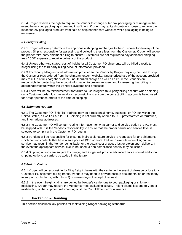6.3.4 Kroger reserves the right to require the Vendor to change outer box packaging or dunnage in the event the existing packaging is deemed insufficient. Kroger may, at its discretion, choose to remove the inadequately packaged products from sale on ship.banner.com websites while packaging is being reengineered.

## <span id="page-9-0"></span>*6.4 Freight Billing*

6.4.1 Kroger will solely determine the appropriate shipping surcharges to the Customer for delivery of the product. Ship is responsible for assessing and collecting these fees from the Customer. Kroger will set up the proper third-party shipment billing to ensure Customers are not required to pay additional shipping fees / COD expense to receive delivery of the product.

6.4.2 Unless otherwise stated, cost of freight for all Customer PO shipments will be billed directly to Kroger using the third-party billing account information provided.

6.4.3 Third-party billing account information provided to the Vendor by Kroger may only be used to ship the Customer POs ordered from the ship.banner.com website. Unauthorized use of the account provided may result in a full chargeback of the unauthorized charges as well as a \$100 fee. Vendors are responsible for protecting the account information to prevent misuse, and for ensuring that billing is appropriately setup within the Vendor's systems and processes.

6.4.4 There will be no reimbursement for failure to use Kroger's third-party billing account when shipping out a Customer order. It is the vendor's responsibility to ensure the correct billing account is being used for Kroger purchase orders at the time of shipping.

## <span id="page-9-1"></span>*6.5 Shipment Routing*

6.5.1 The Customer PO "Ship-To" address may be a residential home, business, or PO box within the United States, as well as APO/FPO. Shipping is not currently offered to U.S. protectorates or territories, and international addresses.

6.5.2 The Customer PO will contain routing information for what carrier and service option the PO must be shipped with. It is the Vendor's responsibility to ensure that the proper carrier and service level is selected to comply with the Customer PO routing.

6.5.3 Vendors will be responsible for ensuring indirect signature service is requested for any shipments which contain contents that have a sale price of \$300 or more. Failure to execute indirect signature service may result in the Vendor being liable for the actual cost of goods lost or stolen upon delivery. In the event the appropriate service level is not used, a non-compliance penalty may be issued.

6.5.4 Shipping options are subject to change, and Kroger will provide advanced notice should additional shipping options or carriers be added in the future.

## <span id="page-9-2"></span>*6.6 Freight Claims*

6.6.1 Kroger will be responsible for filing freight claims with the carrier in the event of damage or loss to a Customer PO shipment during transit. Vendors may need to provide backup documentation or testimony to support such claims, within two (2) business days of receipt of request.

6.6.2 In the event freight claims are denied by Kroger's carrier due to poor packaging or shipment mislabeling, Kroger may require the Vendor correct packaging issues. Freight claims lost due to Vendor mishandling of the shipment will count against the 5% fulfillment error allowance.

## <span id="page-9-3"></span>**7. Packaging & Branding**

This section describes key policies for maintaining Kroger packaging standards.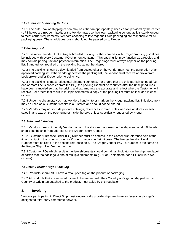#### <span id="page-10-0"></span>*7.1 Outer-Box / Shipping Cartons*

7.1.1 The outer-box or shipping carton may be either an appropriately sized carton provided by the carrier (UPS boxes are **not** permitted), or the Vendor may use their own packaging so long as it is sturdy enough to meet carrier requirements. Vendors choosing to leverage their own packaging are responsible for all packaging costs. These additional costs should not be passed on to Kroger.

## <span id="page-10-1"></span>*7.2 Packing List*

7.2.1 It is recommended that a Kroger branded packing list that complies with Kroger branding guidelines be included with every Customer PO shipment container. This packing list may function as a receipt, and may contain pricing, tax and payment information. The Kroger logo must always appear on the packing list. Standard text required on the packing list cannot be altered.

7.2.2 The packing list can be downloaded from Logicbroker or the vendor may host the generation of an approved packing list. If the vendor generates the packing list, the vendor must receive approval from Logicbroker and/or Kroger prior to going live.

7.2.3 The packing list must reflect total shipment contents. For orders that are only partially shipped (i.e. one or more line is canceled from the PO), the packing list must be reprinted after the unshipped lines have been canceled so that the pricing and tax amounts are accurate and reflect what the Customer will receive. For orders that result in multiple shipments, a copy of the packing list must be included in each carton.

7.2.4 Under no circumstances may Vendors hand write or mark on the Kroger packing list. This document may be used as a Customer receipt in our stores and should not be altered.

7.2.5 Vendors may not include product catalogs, references to direct sales websites or stores, or solicit sales in any way on the packaging or inside the box, unless specifically requested by Kroger.

## <span id="page-10-2"></span>*7.3 Shipment Labeling*

7.3.1 Vendors must not identify Vendor name in the ship-from address on the shipment label. All labels should list the ship-from address as the Kroger Return Center.

7.3.2. Customer Purchase Order (PO) Number must be entered in the Carrier first reference field at the time of shipping the order in order for Kroger to reconcile freight costs. The Kroger Vendor Pay-To Number must be listed in the second reference field. The Kroger Vendor Pay-To Number is the same as the Kroger Ship billing Vendor number.

7.3.3 Customer POs which result in multiple shipments should contain an indicator on the shipment label or carton that the package is one of multiple shipments (e.g., "1 of 2 shipments" for a PO split into two cartons).

#### <span id="page-10-3"></span>*7.4 Retail Product Tags / Labeling*

7.4.1 Products should NOT have a retail price tag on the product or packaging.

7.4.2 All products that are required by law to be marked with their Country of Origin or shipped with a Country of Origin tag attached to the product, must abide by this regulation.

## <span id="page-10-4"></span>**8. Invoicing**

Vendors participating in Direct Ship must electronically provide shipment invoices leveraging Kroger's designated third-party commerce network.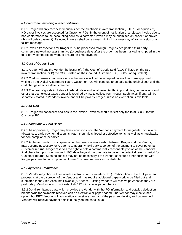#### <span id="page-11-0"></span>*8.1 Electronic Invoicing & Reconciliation*

8.1.1 Kroger will only reconcile financials per the electronic invoice transaction (EDI 810 or equivalent). NO paper invoices are accepted for Customer POs. In the event of notification of a rejected invoice due to non-conformance to the accounting policies, a corrected invoice may be submitted on paper if approved (this will delay payment). Rejected invoices shall be resolved within 1 business day of transmission of a failure message.

8.1.2 Invoice transactions for Kroger must be processed through Kroger's designated third-party commerce network no later than two (2) business days after the order has been marked as shipped in the third-party commerce network to ensure on-time payment.

#### <span id="page-11-1"></span>*8.2 Cost of Goods Sold*

8.2.1 Kroger will pay the Vendor the lesser of A) the Cost of Goods Sold (COGS) listed on the 810 invoice transaction, or B) the COGS listed on the inbound Customer PO (EDI 850 or equivalent).

8.2.2 Cost increases communicated on the Invoice will not be accepted unless they were approved in writing by the Digital Assortment Team. Customer POs will continue to be paid at the original cost until the cost change effective date is reached.

8.2.3 The cost of goods includes all federal, state and local taxes, tariffs, import duties, commissions and other charges, except taxes Vendor is required by law to collect from Kroger. Such taxes, if any, will be separately stated in Vendor's invoice and will be paid by Kroger unless an exemption is available.

## <span id="page-11-2"></span>*8.3 Add-Ons*

8.3.1 Kroger will not accept add-ons to the invoice. Invoices should reflect only the total COGS for the Customer PO.

#### <span id="page-11-3"></span>*8.4 Deductions & Hold Backs*

8.4.1 As appropriate, Kroger may take deductions from the Vendor's payment for negotiated off-invoice allowances, early payment discounts, returns on mis-shipped or defective items, as well as chargebacks for non-compliance penalties.

8.4.2 At the termination or suspension of the business relationship between Kroger and the Vendor, it may become necessary for Kroger to temporarily hold back a portion of the payment to cover potential Customer returns. Kroger reserves the right to hold a commercially reasonable portion of the Vendor's final check for up to one hundred (100) days beyond the due date to cover the potential returns period for Customer returns. Such holdbacks may not be necessary if the Vendor continues other business with Kroger payment for which potential future Customer returns can be deducted.

#### <span id="page-11-4"></span>*8.5 Payment & Remittance*

8.5.1 Vendor may choose to establish electronic funds transfer (EFT). Participation in the EFT payment process is at the discretion of the Vendor and may require additional paperwork to be filled out and submitted to the Ship Accounts Payable (AP) team. Existing Vendors will receive payment as they are paid today. Vendors who do not establish EFT will receive paper checks.

8.5.2 Detail remittance data which provides the Vendor with the PO information and detailed deduction breakdowns for payments received can be electronic or paper-based. The Vendor may elect either option, but EFT Vendors will automatically receive an e-mail of the payment details, and paper-check Vendors will receive payment details directly on the check stub.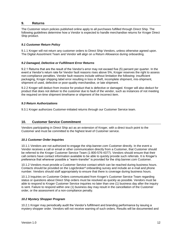#### <span id="page-12-0"></span>**9. Returns**

The Customer return policies published online apply to all purchases fulfilled through Direct Ship. The following guidelines determine how a Vendor is expected to handle merchandise returns for Kroger Direct Ship product.

#### <span id="page-12-1"></span>*9.1 Customer Return Policy*

9.1.1 Kroger will not return any customer orders to Direct Ship Vendors, unless otherwise agreed upon. The Digital Assortment Team and Vendor will align on a Return Allowance during onboarding.

#### <span id="page-12-2"></span>*9.2 Damaged, Defective or Fulfillment Error Returns*

9.2.1 Returns that are the result of the Vendor's error may not exceed five (5) percent per quarter. In the event a Vendor's return rate for Vendor fault reasons rises above 5%, Kroger reserves the right to assess non-compliance penalties. Vendor fault reasons include without limitation the following: insufficient packaging, Kroger shipping label error resulting in loss or theft, incomplete shipment, mis-shipment, shipment of used, defective or poor-quality merchandise, or late shipment.

9.2.2 Kroger will deduct from invoice for product that is defective or damaged. Kroger will also deduct for product that does not deliver to the customer due to fault of the vendor, such as instances of not meeting the required on-time shipment timeframe or shipment of the incorrect item.

#### <span id="page-12-3"></span>*9.3 Return Authorizations*

9.3.1 Kroger authorizes Customer-initiated returns through our Customer Service team.

## <span id="page-12-4"></span>**10. Customer Service Commitment**

Vendors participating in Direct Ship act as an extension of Kroger, with a direct touch point to the Customer and must be committed to the highest level of Customer service.

#### <span id="page-12-5"></span>*10.1 Customer Order Inquiries*

10.1.1 Vendors are not authorized to engage the ship.banner.com Customer directly. In the event a Vendor receives a call or email or other communication directly from a Customer, that Customer should be referred to the Kroger Customer Service Team (1-800-576-4377). Vendors should ensure that their call centers have contact information available to be able to quickly provide such referrals. It is Kroger's preference that wherever possible a "warm-transfer" is provided for the ship.banner.com Customer.

10.1.2 Vendors must provide a Customer Service contact which can be reached during business hours. Contacts should be provided on the Logicbroker® onboarding survey and include an e-mail and phone number. Vendors should staff appropriately to ensure that there is coverage during business hours.

10.1.3 Inquiries on Customer Orders communicated from Kroger's Customer Service Team regarding status or questions about Direct Ship orders must be resolved as quickly as possible. Vendors must be able to respond to Kroger Customer Service inquiries no later than one (1) business day after the inquiry is sent. Failure to respond within one (1) business day may result in the cancellation of the Customer order, or the assessment of a non-compliance penalty.

## <span id="page-12-6"></span>*10.2 Mystery Shopper Program*

10.2.1 Kroger may periodically audit the Vendor's fulfillment and branding performance by issuing a mystery shopper order. Vendors will not receive warning of such orders. Results will be documented and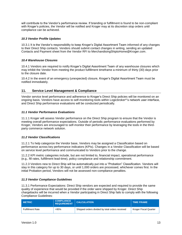will contribute to the Vendor's performance review. If branding or fulfillment is found to be non-compliant with Kroger's policies, the Vendor will be notified and Kroger may at its discretion stop orders until compliance can be achieved.

## <span id="page-13-0"></span>*10.3 Vendor Profile Updates*

10.3.1 It is the Vendor's responsibility to keep Kroger's Digital Assortment Team informed of any changes to their Direct Ship contacts. Vendors should submit contact changes in writing, sending an updated Contacts and Payment sheet from the Vendor RFI to MerchandisingShiptoHome@Kroger.com.

# <span id="page-13-1"></span>*10.4 Warehouse Closures*

10.4.1 Vendors are required to notify Kroger's Digital Assortment Team of any warehouse closures which may inhibit the Vendor from meeting the product fulfillment timeframe a minimum of thirty (30) days prior to the closure date.

10.4.2 In the event of an emergency (unexpected) closure, Kroger's Digital Assortment Team must be notified immediately.

# <span id="page-13-2"></span>**11. Service Level Management & Compliance**

Vendor service level performance and adherence to Kroger's Direct Ship policies will be monitored on an ongoing basis. Vendors have access to self-monitoring tools within Logicbroker®'s network user interface, and Direct Ship performance evaluations will be conducted periodically.

## <span id="page-13-3"></span>*11.1 Vendor Performance Evaluations*

11.1.1 Kroger will assess Vendor performance on the Direct Ship program to ensure that the Vendor is meeting overall performance expectations. Outside of periodic performance evaluations performed by Kroger, Vendors are encouraged to self-monitor their performance by leveraging the tools in the thirdparty commerce network solution.

## <span id="page-13-4"></span>*11.2 Vendor Classifications*

11.2.1 To help categorize the Vendor base, Vendors may be assigned a Classification based on performance across key performance indicators (KPIs). Changes in a Vendor Classification will be based on service level performance and communicated to Vendors prior to the change.

11.2.2 KPI metric categories include, but are not limited to, financial impact, operational performance (e.g., fill rates, fulfillment lead-time), policy compliance and relationship commitment.

11.2.3 Vendors new to Direct Ship will be automatically put into a "Probation" Classification. Vendors will stay in this category for up to 30 days, or until 1,000 orders are processed, whichever comes first. In the initial Probation period, Vendors will not be assessed non-compliance penalties.

## <span id="page-13-5"></span>*11.3 Vendor Compliance Guidelines*

11.3.1 Performance Expectations: Direct Ship vendors are expected and required to provide the same quality of experience that would be provided if the order were shipped by Kroger. Direct Ship chargebacks will be incurred when a Vendor participating in Direct Ship fails to comply with the following Compliance Guidelines:

| <b>METRIC</b>           | <b>COMPLIANCE</b><br><b>REQUIREMENT</b> | <b>CALCULATION</b>                              | <b>TIME FRAME</b>     |
|-------------------------|-----------------------------------------|-------------------------------------------------|-----------------------|
| <b>Fulfillment Rate</b> | >95%                                    | Shipped orders divided by total orders received | Kroger Fiscal Quarter |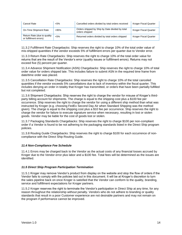| Cancel Rate                                           | $< 5\%$ | Cancelled orders divided by total orders received                 | <b>Kroger Fiscal Quarter</b> |
|-------------------------------------------------------|---------|-------------------------------------------------------------------|------------------------------|
| On-Time Shipment Rate                                 | >95%    | Orders shipped by Ship by Date divided by total<br>orders shipped | <b>Kroger Fiscal Quarter</b> |
| Return Rate (due to quality<br>or fulfillment errors) | < 5%    | Returned orders divided by total orders shipped                   | Kroger Fiscal Quarter        |

11.3.2 Fulfillment Rate Chargebacks: Ship reserves the right to charge 10% of the total order value of mis-shipped quantities if the vendor exceeds 5% of fulfillment errors per quarter due to Vendor error.

11.3.3 Return Rate Chargebacks: Ship reserves the right to charge 10% of the total order value for returns that are the result of the Vendor's error (quality issues or fulfillment errors). Returns may not exceed five (5) percent per quarter.

11.3.4 Advance Shipment Notification (ASN) Chargebacks: Ship reserves the right to charge 10% of total order value for orders shipped late. This includes failure to submit ASN in the required time frame from date/time order was placed.

11.3.5 Cancellation Rate Chargebacks: Ship reserves the right to charge 10% of the total canceled quantities if the vendor exceeds 5% cancellations due to lack of inventory within the fiscal quarter. This includes denying an order in totality that Kroger has transmitted, or orders that have been partially fulfilled but not completed.

11.3.6 Shipment Chargebacks: Ship reserves the right to charge the vendor for misuse of Kroger's thirdparty billing account for shipments. The charge is equal to the shipping cost plus a \$100 fee per occurrence. Ship reserves the right to charge the vendor for using a different ship method than what was instructed by Kroger (e.g. choosing FedEx Second Day Air when Standard Shipping was the method given). The charge is equal to the shipping cost plus a \$10 fee per occurrence. Ship reserves the right to charge the vendor for failure to execute signature service when necessary, resulting in lost or stolen goods. Vendor may be liable for the cost of goods lost or stolen.

11.3.7 Packaging Standards Chargebacks: Ship reserves the right to charge \$100 per non-compliant order if a Vendor is found to be not adhering to the packaging standards listed in the Direct Ship program policies.

11.3.8 Routing Guide Chargebacks: Ship reserves the right to charge \$100 for each occurrence of noncompliance with the Direct Ship Routing Guide.

## <span id="page-14-0"></span>*11.4 Non-Compliance Fee Schedule*

11.4.1 Errors may be charged back to the Vendor as the actual costs of any financial losses accrued by Kroger due to the Vendor error plus labor and a \$100 fee. Total fees will be determined as the issues are identified.

#### <span id="page-14-1"></span>*11.5 Direct Ship Program Participation Termination*

11.5.1 Kroger may remove Vendor's product from display on the website and stop the flow of orders if the Vendor fails to comply with the policies laid out in this document. It will be at Kroger's discretion to turn the sales pipeline back on once Kroger is satisfied that the Vendor can conform to the quality, branding, service and fulfillment expectations for Kroger partners.

11.5.2 Kroger reserves the right to terminate the Vendor's participation in Direct Ship at any time, for any reason throughout the relationship without penalty. Vendors who do not adhere to branding or quality standards that result in a poor Customer experience are not desirable partners and may not remain on the program if performance cannot be improved.